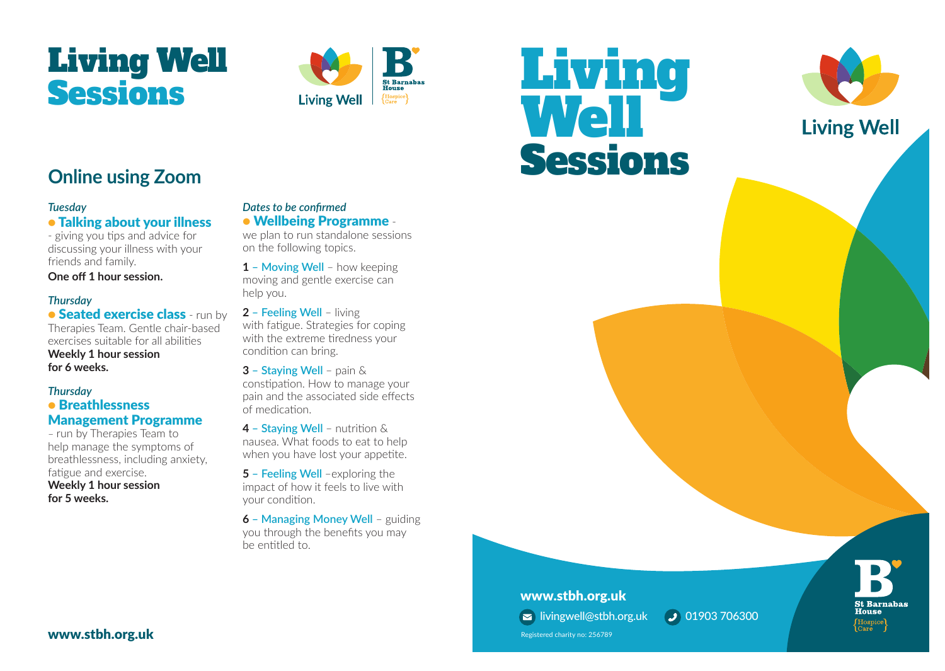







# **Online using Zoom**

#### *Tuesday*

#### • Talking about your illness

- giving you tips and advice for discussing your illness with your friends and family.

**One off 1 hour session.**

#### *Thursday*

## **• Seated exercise class** - run by

Therapies Team. Gentle chair-based exercises suitable for all abilities **Weekly 1 hour session for 6 weeks.**

## *Thursday*

#### • Breathlessness Management Programme

– run by Therapies Team to help manage the symptoms of breathlessness, including anxiety, fatigue and exercise. **Weekly 1 hour session for 5 weeks.**

#### *Dates to be confirmed* • Wellbeing Programme -

we plan to run standalone sessions on the following topics.

**1 – Moving Well** – how keeping moving and gentle exercise can help you.

**2 – Feeling Well** – living

with fatigue. Strategies for coping with the extreme tiredness your condition can bring.

**3 – Staying Well** – pain & constipation. How to manage your pain and the associated side effects of medication.

**4 – Staying Well** – nutrition & nausea. What foods to eat to help when you have lost your appetite.

**5** – **Feeling Well** –exploring the impact of how it feels to live with your condition.

**6 – Managing Money Well** – guiding you through the benefits you may be entitled to.